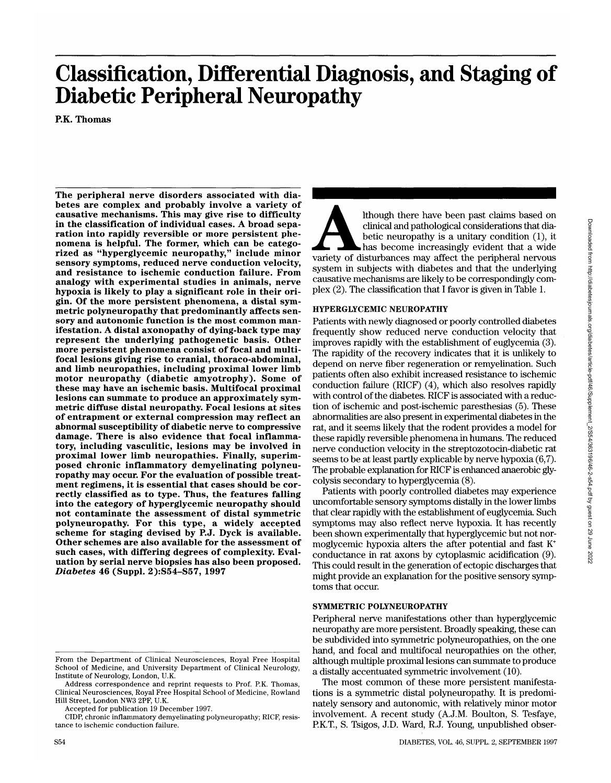# **Classification, Differential Diagnosis, and Staging of Diabetic Peripheral Neuropathy**

**P.K. Thomas**

**The peripheral nerve disorders associated with dia- betes are complex and probably involve a variety of causative mechanisms. This may give rise to difficulty** ration into rapidly reversible or more persistent phenomena is helpful. The former, which can be categorized as "hyperglycemic neuropathy," include minor **sensory symptoms, reduced nerve conduction velocity, and resistance to ischemic conduction failure. From analogy with experimental studies in animals, nerve** hypoxia is likely to play a significant role in their origin. Of the more persistent phenomena, a distal symmetric polyneuropathy that predominantly affects sensory and autonomic function is the most common manifestation. **represent the underlying pathogenetic basis. Other more persistent phenomena consist of focal and multi- focal lesions giving rise to cranial, thoraco-abdominal, and limb neuropathies, including proximal lower limb motor neuropathy (diabetic amyotrophy). Some of these may have an ischemic basis. Multifocal proximal lesions can summate to produce an approximately sym- metric diffuse distal neuropathy. Focal lesions at sites of entrapment or external compression may reflect an abnormal susceptibility of diabetic nerve to compressive damage. There is also evidence that focal inflamma- tory, including vasculitic, lesions may be involved in** proximal lower limb neuropathies. Finally, superim-<br>posed chronic inflammatory demyelinating polyneu-<br>ropathy may occur. For the evaluation of possible treat-<br>ment regimens, it is essential that cases should be cor-<br>rectly **into the category of hyperglycemic neuropathy should not contaminate the assessment of distal symmetric polyneuropathy. For this type, a widely accepted scheme for staging devised by P.J. Dyck is available. Other schemes are also available for the assessment of such cases, with differing degrees of complexity. Eval- uation by serial nerve biopsies has also been proposed.** *Diabetes* **46 (Suppl. 2):S54-S57, 1997**

S54 DIABETES, VOL. 46, SUPPL. 2, SEPTEMBER 1997

Although there have been past claims based on clinical and pathological considerations that diabetic neuropathy is a unitary condition (1), it has become increasingly evident that a wide variety of disturbances may affect clinical and pathological considerations that diabetic neuropathy is a unitary condition (1), it has become increasingly evident that a wide system in subjects with diabetes and that the underlying causative mechanisms are likely to be correspondingly complex (2). The classification that I favor is given in Table 1.

# HYPERGLYCEMIC NEUROPATHY

Patients with newly diagnosed or poorly controlled diabetes frequently show reduced nerve conduction velocity that improves rapidly with the establishment of euglycemia (3). The rapidity of the recovery indicates that it is unlikely to depend on nerve fiber regeneration or remyelination. Such patients often also exhibit increased resistance to ischemic conduction failure (RICF) (4), which also resolves rapidly with control of the diabetes. RICF is associated with a reduction of ischemic and post-ischemic paresthesias (5). These abnormalities are also present in experimental diabetes in the rat, and it seems likely that the rodent provides a model for these rapidly reversible phenomena in humans. The reduced nerve conduction velocity in the streptozotocin-diabetic rat seems to be at least partly explicable by nerve hypoxia (6,7). The probable explanation for RICF is enhanced anaerobic glycolysis secondary to hyperglycemia (8).

Patients with poorly controlled diabetes may experience uncomfortable sensory symptoms distally in the lower limbs that clear rapidly with the establishment of euglycemia. Such symptoms may also reflect nerve hypoxia. It has recently been shown experimentally that hyperglycemic but not normoglycemic hypoxia alters the after potential and fast K+ conductance in rat axons by cytoplasmic acidification (9). This could result in the generation of ectopic discharges that might provide an explanation for the positive sensory symptoms that occur.

## SYMMETRIC POLYNEUROPATHY

Peripheral nerve manifestations other than hyperglycemic neuropathy are more persistent. Broadly speaking, these can be subdivided into symmetric polyneuropathies, on the one hand, and focal and multifocal neuropathies on the other. although multiple proximal lesions can summate to produce a distally accentuated symmetric involvement (10).

The most common of these more persistent manifestations is a symmetric distal polyneuropathy. It is predominately sensory and autonomic, with relatively minor motor involvement. A recent study (A.J.M. Boulton, S. Tesfaye, P.K.T., S. Tsigos, J.D. Ward, R.J. Young, unpublished obser-

From the Department of Clinical Neurosciences, Royal Free Hospital School of Medicine, and University Department of Clinical Neurology,

Institute of Neurology, London, U.K.<br>Address correspondence and reprint requests to Prof. P.K. Thomas,<br>Clinical Neurosciences, Royal Free Hospital School of Medicine, Rowland<br>Hill Street. London NW3 2PF. U.K.

Accepted for publication 19 December 1997.<br>CIDP, chronic inflammatory demyelinating polyneuropathy; RICF, resistance to ischemic conduction failure.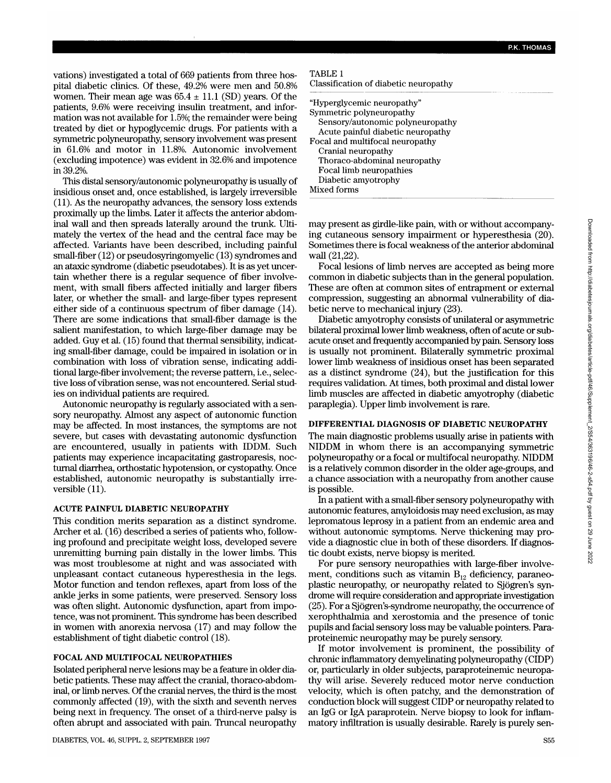vations) investigated a total of 669 patients from three hospital diabetic clinics. Of these, 49.2% were men and 50.8% women. Their mean age was  $65.4 \pm 11.1$  (SD) years. Of the patients, 9.6% were receiving insulin treatment, and information was not available for 1.5%; the remainder were being treated by diet or hypoglycemic drugs. For patients with a symmetric polyneuropathy, sensory involvement was present in 61.6% and motor in 11.8%. Autonomic involvement (excluding impotence) was evident in 32.6% and impotence in 39.2%.

This distal sensory/autonomic polyneuropathy is usually of insidious onset and, once established, is largely irreversible (11). As the neuropathy advances, the sensory loss extends proximally up the limbs. Later it affects the anterior abdominal wall and then spreads laterally around the trunk. Ultimately the vertex of the head and the central face may be affected. Variants have been described, including painful small-fiber (12) or pseudosyringomyelic (13) syndromes and an ataxic syndrome (diabetic pseudotabes). It is as yet uncertain whether there is a regular sequence of fiber involvement, with small fibers affected initially and larger fibers later, or whether the small- and large-fiber types represent either side of a continuous spectrum of fiber damage (14). There are some indications that small-fiber damage is the salient manifestation, to which large-fiber damage may be added. Guy et al. (15) found that thermal sensibility, indicating small-fiber damage, could be impaired in isolation or in combination with loss of vibration sense, indicating additional large-fiber involvement; the reverse pattern, i.e., selective loss of vibration sense, was not encountered. Serial studies on individual patients are required.

Autonomic neuropathy is regularly associated with a sensory neuropathy. Almost any aspect of autonomic function may be affected. In most instances, the symptoms are not severe, but cases with devastating autonomic dysfunction are encountered, usually in patients with IDDM. Such patients may experience incapacitating gastroparesis, nocturnal diarrhea, orthostatic hypotension, or cystopathy. Once established, autonomic neuropathy is substantially irreversible (11).

#### ACUTE PAINFUL DIABETIC NEUROPATHY

This condition merits separation as a distinct syndrome. Archer et al. (16) described a series of patients who, following profound and precipitate weight loss, developed severe unremitting burning pain distally in the lower limbs. This was most troublesome at night and was associated with unpleasant contact cutaneous hyperesthesia in the legs. Motor function and tendon reflexes, apart from loss of the ankle jerks in some patients, were preserved. Sensory loss was often slight. Autonomic dysfunction, apart from impotence, was not prominent. This syndrome has been described in women with anorexia nervosa (17) and may follow the establishment of tight diabetic control (18).

#### FOCAL AND MULTIFOCAL NEUROPATHIES

Isolated peripheral nerve lesions may be a feature in older diabetic patients. These may affect the cranial, thoraco-abdominal, or limb nerves. Of the cranial nerves, the third is the most commonly affected (19), with the sixth and seventh nerves being next in frequency. The onset of a third-nerve palsy is often abrupt and associated with pain. Truncal neuropathy

#### TABLE 1

| Classification of diabetic neuropathy |  |
|---------------------------------------|--|
| "Hyperglycemic neuropathy"            |  |
| Symmetric polyneuropathy              |  |
| Sensory/autonomic polyneuropathy      |  |
| Acute painful diabetic neuropathy     |  |
| Focal and multifocal neuropathy       |  |
| Cranial neuropathy                    |  |
| Thoraco-abdominal neuropathy          |  |
| Focal limb neuropathies               |  |
| Diabetic amyotrophy                   |  |
| Mixed forms                           |  |
|                                       |  |

may present as girdle-like pain, with or without accompanying cutaneous sensory impairment or hyperesthesia (20). Sometimes there is focal weakness of the anterior abdominal wall (21,22).

Focal lesions of limb nerves are accepted as being more common in diabetic subjects than in the general population. These are often at common sites of entrapment or external compression, suggesting an abnormal vulnerability of diabetic nerve to mechanical injury (23).

Diabetic amyotrophy consists of unilateral or asymmetric bilateral proximal lower limb weakness, often of acute or subacute onset and frequently accompanied by pain. Sensory loss is usually not prominent. Bilaterally symmetric proximal lower limb weakness of insidious onset has been separated as a distinct syndrome (24), but the justification for this requires validation. At times, both proximal and distal lower limb muscles are affected in diabetic amyotrophy (diabetic paraplegia). Upper limb involvement is rare.

### DIFFERENTIAL DIAGNOSIS OF DIABETIC NEUROPATHY

The main diagnostic problems usually arise in patients with NIDDM in whom there is an accompanying symmetric polyneuropathy or a focal or multifocal neuropathy. NIDDM is a relatively common disorder in the older age-groups, and a chance association with a neuropathy from another cause is possible.

In a patient with a small-fiber sensory polyneuropathy with autonomic features, amyloidosis may need exclusion, as may lepromatous leprosy in a patient from an endemic area and without autonomic symptoms. Nerve thickening may provide a diagnostic clue in both of these disorders. If diagnostic doubt exists, nerve biopsy is merited.

For pure sensory neuropathies with large-fiber involvement, conditions such as vitamin  $B_{12}$  deficiency, paraneoplastic neuropathy, or neuropathy related to Sjogren's syndrome will require consideration and appropriate investigation (25). For a Sjogren's-syndrome neuropathy, the occurrence of xerophthalmia and xerostomia and the presence of tonic pupils and facial sensory loss may be valuable pointers. Paraproteinemic neuropathy may be purely sensory.

If motor involvement is prominent, the possibility of chronic inflammatory demyelinating polyneuropathy (CIDP) or, particularly in older subjects, paraproteinemic neuropathy will arise. Severely reduced motor nerve conduction velocity, which is often patchy, and the demonstration of conduction block will suggest CIDP or neuropathy related to an IgG or IgA paraprotein. Nerve biopsy to look for inflammatory infiltration is usually desirable. Rarely is purely sen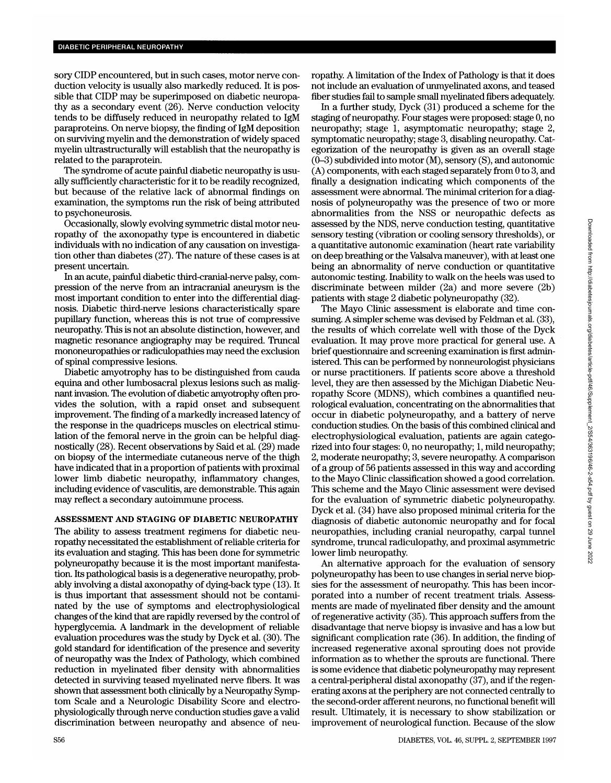sory CIDP encountered, but in such cases, motor nerve conduction velocity is usually also markedly reduced. It is possible that CIDP may be superimposed on diabetic neuropathy as a secondary event (26). Nerve conduction velocity tends to be diffusely reduced in neuropathy related to IgM paraproteins. On nerve biopsy, the finding of IgM deposition on surviving myelin and the demonstration of widely spaced myelin ultrastructurally will establish that the neuropathy is related to the paraprotein.

The syndrome of acute painful diabetic neuropathy is usually sufficiently characteristic for it to be readily recognized, but because of the relative lack of abnormal findings on examination, the symptoms run the risk of being attributed to psychoneurosis.

Occasionally, slowly evolving symmetric distal motor neuropathy of the axonopathy type is encountered in diabetic individuals with no indication of any causation on investigation other than diabetes (27). The nature of these cases is at present uncertain.

In an acute, painful diabetic third-cranial-nerve palsy, compression of the nerve from an intracranial aneurysm is the most important condition to enter into the differential diagnosis. Diabetic third-nerve lesions characteristically spare pupillary function, whereas this is not true of compressive neuropathy. This is not an absolute distinction, however, and magnetic resonance angiography may be required. Truncal mononeuropathies or radiculopathies may need the exclusion of spinal compressive lesions.

Diabetic amyotrophy has to be distinguished from cauda equina and other lumbosacral plexus lesions such as malignant invasion. The evolution of diabetic amyotrophy often provides the solution, with a rapid onset and subsequent improvement. The finding of a markedly increased latency of the response in the quadriceps muscles on electrical stimulation of the femoral nerve in the groin can be helpful diagnostically (28). Recent observations by Said et al. (29) made on biopsy of the intermediate cutaneous nerve of the thigh have indicated that in a proportion of patients with proximal lower limb diabetic neuropathy, inflammatory changes, including evidence of vasculitis, are demonstrable. This again may reflect a secondary autoimmune process.

# ASSESSMENT AND STAGING OF DIABETIC NEUROPATHY

The ability to assess treatment regimens for diabetic neuropathy necessitated the establishment of reliable criteria for its evaluation and staging. This has been done for symmetric polyneuropathy because it is the most important manifestation. Its pathological basis is a degenerative neuropathy, probably involving a distal axonopathy of dying-back type (13). It is thus important that assessment should not be contaminated by the use of symptoms and electrophysiological changes of the kind that are rapidly reversed by the control of hyperglycemia. A landmark in the development of reliable evaluation procedures was the study by Dyck et al. (30). The gold standard for identification of the presence and severity of neuropathy was the Index of Pathology, which combined reduction in myelinated fiber density with abnormalities detected in surviving teased myelinated nerve fibers. It was shown that assessment both clinically by a Neuropathy Symptom Scale and a Neurologic Disability Score and electrophysiologically through nerve conduction studies gave a valid discrimination between neuropathy and absence of neuropathy. A limitation of the Index of Pathology is that it does not include an evaluation of unmyelinated axons, and teased fiber studies fail to sample small myelinated fibers adequately.

In a further study, Dyck (31) produced a scheme for the staging of neuropathy. Four stages were proposed: stage 0, no neuropathy; stage 1, asymptomatic neuropathy; stage 2, symptomatic neuropathy; stage 3, disabling neuropathy. Categorization of the neuropathy is given as an overall stage (0-3) subdivided into motor (M), sensory (S), and autonomic (A) components, with each staged separately from 0 to 3, and finally a designation indicating which components of the assessment were abnormal. The minimal criterion for a diagnosis of polyneuropathy was the presence of two or more abnormalities from the NSS or neuropathic defects as assessed by the NDS, nerve conduction testing, quantitative sensory testing (vibration or cooling sensory thresholds), or a quantitative autonomic examination (heart rate variability on deep breathing or the Valsalva maneuver), with at least one being an abnormality of nerve conduction or quantitative autonomic testing. Inability to walk on the heels was used to discriminate between milder (2a) and more severe (2b) patients with stage 2 diabetic polyneuropathy (32).

The Mayo Clinic assessment is elaborate and time consuming. A simpler scheme was devised by Feldman et al. (33), the results of which correlate well with those of the Dyck evaluation. It may prove more practical for general use. A brief questionnaire and screening examination is first administered. This can be performed by nonneurologist physicians or nurse practitioners. If patients score above a threshold level, they are then assessed by the Michigan Diabetic Neuropathy Score (MDNS), which combines a quantified neurological evaluation, concentrating on the abnormalities that occur in diabetic polyneuropathy, and a battery of nerve conduction studies. On the basis of this combined clinical and electrophysiological evaluation, patients are again categorized into four stages: 0, no neuropathy; 1, mild neuropathy; 2, moderate neuropathy; 3, severe neuropathy. A comparison of a group of 56 patients assessed in this way and according to the Mayo Clinic classification showed a good correlation. This scheme and the Mayo Clinic assessment were devised for the evaluation of symmetric diabetic polyneuropathy. Dyck et al. (34) have also proposed minimal criteria for the diagnosis of diabetic autonomic neuropathy and for focal neuropathies, including cranial neuropathy, carpal tunnel syndrome, truncal radiculopathy, and proximal asymmetric lower limb neuropathy.

An alternative approach for the evaluation of sensory polyneuropathy has been to use changes in serial nerve biopsies for the assessment of neuropathy. This has been incorporated into a number of recent treatment trials. Assessments are made of myelinated fiber density and the amount of regenerative activity (35). This approach suffers from the disadvantage that nerve biopsy is invasive and has a low but significant complication rate (36). In addition, the finding of increased regenerative axonal sprouting does not provide information as to whether the sprouts are functional. There is some evidence that diabetic polyneuropathy may represent a central-peripheral distal axonopathy (37), and if the regenerating axons at the periphery are not connected centrally to the second-order afferent neurons, no functional benefit will result. Ultimately, it is necessary to show stabilization or improvement of neurological function. Because of the slow